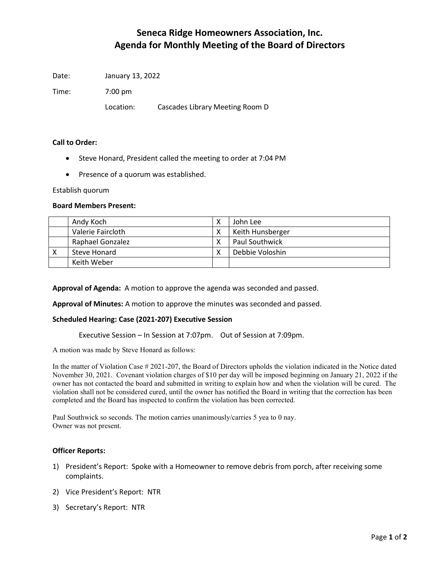# Seneca Ridge Homeowners Association, Inc. Agenda for Monthly Meeting of the Board of Directors

Date: January 13, 2022

Time: 7:00 pm

Location: Cascades Library Meeting Room D

### Call to Order:

- Steve Honard, President called the meeting to order at 7:04 PM
- Presence of a quorum was established.

Establish quorum

#### Board Members Present:

|   | Andy Koch         | John Lee              |
|---|-------------------|-----------------------|
|   | Valerie Faircloth | Keith Hunsberger      |
|   | Raphael Gonzalez  | <b>Paul Southwick</b> |
| х | Steve Honard      | Debbie Voloshin       |
|   | Keith Weber       |                       |

Approval of Agenda: A motion to approve the agenda was seconded and passed.

Approval of Minutes: A motion to approve the minutes was seconded and passed.

### Scheduled Hearing: Case (2021-207) Executive Session

Executive Session – In Session at 7:07pm. Out of Session at 7:09pm.

A motion was made by Steve Honard as follows:

In the matter of Violation Case # 2021-207, the Board of Directors upholds the violation indicated in the Notice dated November 30, 2021. Covenant violation charges of \$10 per day will be imposed beginning on January 21, 2022 if the owner has not contacted the board and submitted in writing to explain how and when the violation will be cured. The violation shall not be considered cured, until the owner has notified the Board in writing that the correction has been completed and the Board has inspected to confirm the violation has been corrected.

Paul Southwick so seconds. The motion carries unanimously/carries 5 yea to 0 nay. Owner was not present.

### Officer Reports:

- 1) President's Report: Spoke with a Homeowner to remove debris from porch, after receiving some complaints.
- 2) Vice President's Report: NTR
- 3) Secretary's Report: NTR